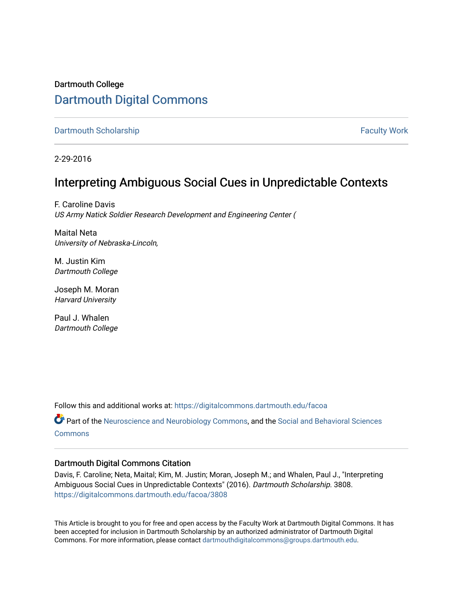# Dartmouth College [Dartmouth Digital Commons](https://digitalcommons.dartmouth.edu/)

[Dartmouth Scholarship](https://digitalcommons.dartmouth.edu/facoa) [Faculty Work](https://digitalcommons.dartmouth.edu/faculty) and The Basic Scholarship Faculty Work Faculty Work

2-29-2016

# Interpreting Ambiguous Social Cues in Unpredictable Contexts

F. Caroline Davis US Army Natick Soldier Research Development and Engineering Center (

Maital Neta University of Nebraska-Lincoln,

M. Justin Kim Dartmouth College

Joseph M. Moran Harvard University

Paul J. Whalen Dartmouth College

Follow this and additional works at: [https://digitalcommons.dartmouth.edu/facoa](https://digitalcommons.dartmouth.edu/facoa?utm_source=digitalcommons.dartmouth.edu%2Ffacoa%2F3808&utm_medium=PDF&utm_campaign=PDFCoverPages)

Part of the [Neuroscience and Neurobiology Commons,](http://network.bepress.com/hgg/discipline/55?utm_source=digitalcommons.dartmouth.edu%2Ffacoa%2F3808&utm_medium=PDF&utm_campaign=PDFCoverPages) and the [Social and Behavioral Sciences](http://network.bepress.com/hgg/discipline/316?utm_source=digitalcommons.dartmouth.edu%2Ffacoa%2F3808&utm_medium=PDF&utm_campaign=PDFCoverPages) **[Commons](http://network.bepress.com/hgg/discipline/316?utm_source=digitalcommons.dartmouth.edu%2Ffacoa%2F3808&utm_medium=PDF&utm_campaign=PDFCoverPages)** 

# Dartmouth Digital Commons Citation

Davis, F. Caroline; Neta, Maital; Kim, M. Justin; Moran, Joseph M.; and Whalen, Paul J., "Interpreting Ambiguous Social Cues in Unpredictable Contexts" (2016). Dartmouth Scholarship. 3808. [https://digitalcommons.dartmouth.edu/facoa/3808](https://digitalcommons.dartmouth.edu/facoa/3808?utm_source=digitalcommons.dartmouth.edu%2Ffacoa%2F3808&utm_medium=PDF&utm_campaign=PDFCoverPages) 

This Article is brought to you for free and open access by the Faculty Work at Dartmouth Digital Commons. It has been accepted for inclusion in Dartmouth Scholarship by an authorized administrator of Dartmouth Digital Commons. For more information, please contact [dartmouthdigitalcommons@groups.dartmouth.edu](mailto:dartmouthdigitalcommons@groups.dartmouth.edu).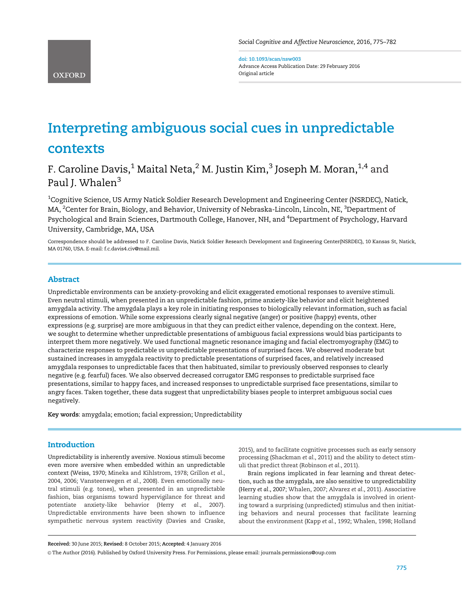doi: 10.1093/scan/nsw003 Advance Access Publication Date: 29 February 2016 Original article

# Interpreting ambiguous social cues in unpredictable contexts

# F. Caroline Davis, $1$  Maital Neta, $2$  M. Justin Kim, $3$  Joseph M. Moran, $1,4$  and Paul J. Whalen<sup>3</sup>

 $^{\rm 1}$ Cognitive Science, US Army Natick Soldier Research Development and Engineering Center (NSRDEC), Natick, MA, <sup>2</sup>Center for Brain, Biology, and Behavior, University of Nebraska-Lincoln, Lincoln, NE, <sup>3</sup>Department of Psychological and Brain Sciences, Dartmouth College, Hanover, NH, and <sup>4</sup>Department of Psychology, Harvard University, Cambridge, MA, USA

Correspondence should be addressed to F. Caroline Davis, Natick Soldier Research Development and Engineering Center(NSRDEC), 10 Kansas St, Natick, MA 01760, USA. E-mail: f.c.davis4.civ@mail.mil.

# Abstract

Unpredictable environments can be anxiety-provoking and elicit exaggerated emotional responses to aversive stimuli. Even neutral stimuli, when presented in an unpredictable fashion, prime anxiety-like behavior and elicit heightened amygdala activity. The amygdala plays a key role in initiating responses to biologically relevant information, such as facial expressions of emotion. While some expressions clearly signal negative (anger) or positive (happy) events, other expressions (e.g. surprise) are more ambiguous in that they can predict either valence, depending on the context. Here, we sought to determine whether unpredictable presentations of ambiguous facial expressions would bias participants to interpret them more negatively. We used functional magnetic resonance imaging and facial electromyography (EMG) to characterize responses to predictable vs unpredictable presentations of surprised faces. We observed moderate but sustained increases in amygdala reactivity to predictable presentations of surprised faces, and relatively increased amygdala responses to unpredictable faces that then habituated, similar to previously observed responses to clearly negative (e.g. fearful) faces. We also observed decreased corrugator EMG responses to predictable surprised face presentations, similar to happy faces, and increased responses to unpredictable surprised face presentations, similar to angry faces. Taken together, these data suggest that unpredictability biases people to interpret ambiguous social cues negatively.

Key words: amygdala; emotion; facial expression; Unpredictability

# **Introduction**

Unpredictability is inherently aversive. Noxious stimuli become even more aversive when embedded within an unpredictable context ([Weiss, 1970; Mineka and Kihlstrom, 1978;](#page-8-0) [Grillon](#page-7-0) et al., [2004, 2006](#page-7-0); [Vansteenwegen](#page-8-0) et al., 2008). Even emotionally neutral stimuli (e.g. tones), when presented in an unpredictable fashion, bias organisms toward hypervigilance for threat and potentiate anxiety-like behavior (Herry et al.[, 2007\)](#page-7-0). Unpredictable environments have been shown to influence sympathetic nervous system reactivity ([Davies and Craske,](#page-7-0)

[2015\)](#page-7-0), and to facilitate cognitive processes such as early sensory processing ([Shackman](#page-8-0) et al., 2011) and the ability to detect stimuli that predict threat ([Robinson](#page-8-0) et al., 2011).

Brain regions implicated in fear learning and threat detection, such as the amygdala, are also sensitive to unpredictability [\(Herry](#page-7-0) et al., 2007; [Whalen, 2007](#page-8-0); [Alvarez](#page-7-0) et al., 2011). Associative learning studies show that the amygdala is involved in orienting toward a surprising (unpredicted) stimulus and then initiating behaviors and neural processes that facilitate learning about the environment (Kapp et al.[, 1992;](#page-7-0) [Whalen, 1998](#page-8-0); [Holland](#page-7-0)

Received: 30 June 2015; Revised: 8 October 2015; Accepted: 4 January 2016

V<sup>C</sup> The Author (2016). Published by Oxford University Press. For Permissions, please email: journals.permissions@oup.com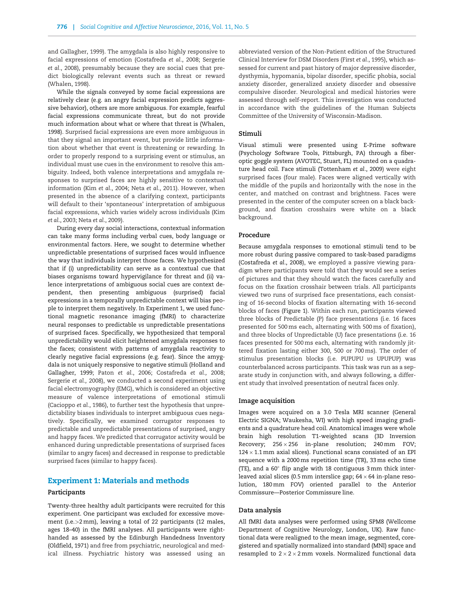[and Gallagher, 1999](#page-7-0)). The amygdala is also highly responsive to facial expressions of emotion [\(Costafreda](#page-7-0) et al., 2008; [Sergerie](#page-8-0) et al.[, 2008\)](#page-8-0), presumably because they are social cues that predict biologically relevant events such as threat or reward [\(Whalen, 1998\)](#page-8-0).

While the signals conveyed by some facial expressions are relatively clear (e.g. an angry facial expression predicts aggressive behavior), others are more ambiguous. For example, fearful facial expressions communicate threat, but do not provide much information about what or where that threat is [\(Whalen,](#page-8-0) [1998\)](#page-8-0). Surprised facial expressions are even more ambiguous in that they signal an important event, but provide little information about whether that event is threatening or rewarding. In order to properly respond to a surprising event or stimulus, an individual must use cues in the environment to resolve this ambiguity. Indeed, both valence interpretations and amygdala responses to surprised faces are highly sensitive to contextual information (Kim et al[., 2004;](#page-7-0) Neta et al[., 2011](#page-8-0)). However, when presented in the absence of a clarifying context, participants will default to their 'spontaneous' interpretation of ambiguous facial expressions, which varies widely across individuals [\(Kim](#page-7-0) et al[., 2003;](#page-7-0) Neta et al[., 2009](#page-8-0)).

During every day social interactions, contextual information can take many forms including verbal cues, body language or environmental factors. Here, we sought to determine whether unpredictable presentations of surprised faces would influence the way that individuals interpret those faces. We hypothesized that if (i) unpredictability can serve as a contextual cue that biases organisms toward hypervigilance for threat and (ii) valence interpretations of ambiguous social cues are context dependent, then presenting ambiguous (surprised) facial expressions in a temporally unpredictable context will bias people to interpret them negatively. In Experiment 1, we used functional magnetic resonance imaging (fMRI) to characterize neural responses to predictable vs unpredictable presentations of surprised faces. Specifically, we hypothesized that temporal unpredictability would elicit heightened amygdala responses to the faces; consistent with patterns of amygdala reactivity to clearly negative facial expressions (e.g. fear). Since the amygdala is not uniquely responsive to negative stimuli [\(Holland and](#page-7-0) [Gallagher, 1999](#page-7-0); Paton et al[., 2006](#page-8-0); [Costafreda](#page-7-0) et al., 2008; [Sergerie](#page-8-0) et al., 2008), we conducted a second experiment using facial electromyography (EMG), which is considered an objective measure of valence interpretations of emotional stimuli [\(Cacioppo](#page-7-0) et al., 1986), to further test the hypothesis that unpredictability biases individuals to interpret ambiguous cues negatively. Specifically, we examined corrugator responses to predictable and unpredictable presentations of surprised, angry and happy faces. We predicted that corrugator activity would be enhanced during unpredictable presentations of surprised faces (similar to angry faces) and decreased in response to predictable surprised faces (similar to happy faces).

# Experiment 1: Materials and methods

#### Participants

Twenty-three healthy adult participants were recruited for this experiment. One participant was excluded for excessive movement (i.e.>2 mm), leaving a total of 22 participants (12 males, ages 18–40) in the fMRI analyses. All participants were righthanded as assessed by the Edinburgh Handedness Inventory [\(Oldfield, 1971\)](#page-8-0) and free from psychiatric, neurological and medical illness. Psychiatric history was assessed using an

abbreviated version of the Non-Patient edition of the Structured Clinical Interview for DSM Disorders (First et al.[, 1995](#page-7-0)), which assessed for current and past history of major depressive disorder, dysthymia, hypomania, bipolar disorder, specific phobia, social anxiety disorder, generalized anxiety disorder and obsessive compulsive disorder. Neurological and medical histories were assessed through self-report. This investigation was conducted in accordance with the guidelines of the Human Subjects Committee of the University of Wisconsin-Madison.

# Stimuli

Visual stimuli were presented using E-Prime software (Psychology Software Tools, Pittsburgh, PA) through a fiberoptic goggle system (AVOTEC, Stuart, FL) mounted on a quadrature head coil. Face stimuli [\(Tottenham](#page-8-0) et al., 2009) were eight surprised faces (four male). Faces were aligned vertically with the middle of the pupils and horizontally with the nose in the center, and matched on contrast and brightness. Faces were presented in the center of the computer screen on a black background, and fixation crosshairs were white on a black background.

#### Procedure

Because amygdala responses to emotional stimuli tend to be more robust during passive compared to task-based paradigms [\(Costafreda](#page-7-0) et al., 2008), we employed a passive viewing paradigm where participants were told that they would see a series of pictures and that they should watch the faces carefully and focus on the fixation crosshair between trials. All participants viewed two runs of surprised face presentations, each consisting of 16-second blocks of fixation alternating with 16-second blocks of faces [\(Figure 1\)](#page-3-0). Within each run, participants viewed three blocks of Predictable (P) face presentations (i.e. 16 faces presented for 500 ms each, alternating with 500 ms of fixation), and three blocks of Unpredictable (U) face presentations (i.e. 16 faces presented for 500 ms each, alternating with randomly jittered fixation lasting either 300, 500 or 700 ms). The order of stimulus presentation blocks (i.e. PUPUPU vs UPUPUP) was counterbalanced across participants. This task was run as a separate study in conjunction with, and always following, a different study that involved presentation of neutral faces only.

#### Image acquisition

Images were acquired on a 3.0 Tesla MRI scanner (General Electric SIGNA; Waukesha, WI) with high speed imaging gradients and a quadrature head coil. Anatomical images were whole brain high resolution T1-weighted scans (3D Inversion Recovery;  $256 \times 256$  in-plane resolution; 240 mm FOV;  $124 \times 1.1 \,\rm{mm}$  axial slices). Functional scans consisted of an EPI sequence with a 2000 ms repetition time (TR), 33 ms echo time (TE), and a  $60^{\circ}$  flip angle with 18 contiguous 3 mm thick interleaved axial slices (0.5 mm interslice gap; 64  $\times$  64 in-plane resolution, 180 mm FOV) oriented parallel to the Anterior Commissure––Posterior Commissure line.

#### Data analysis

All fMRI data analyses were performed using SPM8 (Wellcome Department of Cognitive Neurology, London, UK). Raw functional data were realigned to the mean image, segmented, coregistered and spatially normalized into standard (MNI) space and resampled to  $2 \times 2 \times 2$  mm voxels. Normalized functional data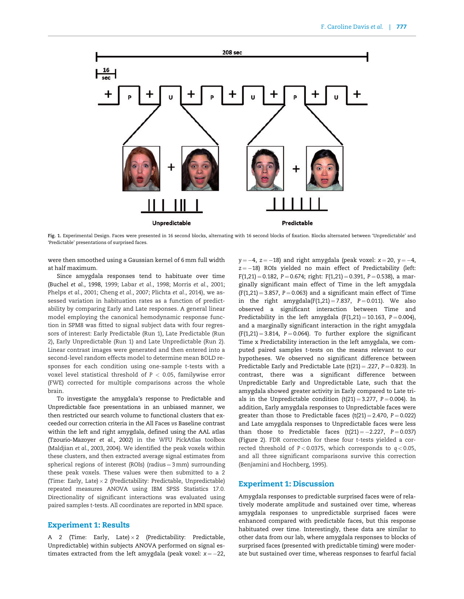<span id="page-3-0"></span>

Fig. 1. Experimental Design. Faces were presented in 16 second blocks, alternating with 16 second blocks of fixation. Blocks alternated between 'Unpredictable' and 'Predictable' presentations of surprised faces.

were then smoothed using a Gaussian kernel of 6 mm full width at half maximum.

Since amygdala responses tend to habituate over time [\(Buchel](#page-7-0) et al., 1998, [1999](#page-7-0); Labar et al.[, 1998](#page-7-0); [Morris](#page-8-0) et al., 2001; [Phelps](#page-8-0) et al., 2001; [Cheng](#page-7-0) et al., 2007; [Plichta](#page-8-0) et al., 2014), we assessed variation in habituation rates as a function of predictability by comparing Early and Late responses. A general linear model employing the canonical hemodynamic response function in SPM8 was fitted to signal subject data with four regressors of interest: Early Predictable (Run 1), Late Predictable (Run 2), Early Unpredictable (Run 1) and Late Unpredictable (Run 2). Linear contrast images were generated and then entered into a second-level random effects model to determine mean BOLD responses for each condition using one-sample t-tests with a voxel level statistical threshold of  $P < 0.05$ , familywise error (FWE) corrected for multiple comparisons across the whole brain.

To investigate the amygdala's response to Predictable and Unpredictable face presentations in an unbiased manner, we then restricted our search volume to functional clusters that exceeded our correction criteria in the All Faces vs Baseline contrast within the left and right amygdala, defined using the AAL atlas [\(Tzourio-Mazoyer](#page-8-0) et al., 2002) in the WFU PickAtlas toolbox [\(Maldjian](#page-7-0) et al., 2003, [2004\)](#page-7-0). We identified the peak voxels within these clusters, and then extracted average signal estimates from spherical regions of interest (ROIs) (radius =  $3 \text{ mm}$ ) surrounding these peak voxels. These values were then submitted to a 2 (Time: Early, Late) × 2 (Predictability: Predictable, Unpredictable) repeated measures ANOVA using IBM SPSS Statistics 17.0. Directionality of significant interactions was evaluated using paired samples t-tests. All coordinates are reported in MNI space.

## Experiment 1: Results

A 2 (Time: Early, Late) $\times 2$  (Predictability: Predictable, Unpredictable) within subjects ANOVA performed on signal estimates extracted from the left amygdala (peak voxel:  $x = -22$ ,  $y = -4$ ,  $z = -18$ ) and right amygdala (peak voxel:  $x = 20$ ,  $y = -4$ ,  $z = -18$ ) ROIs yielded no main effect of Predictability (left:  $F(1,21) = 0.182$ , P = 0.674; right:  $F(1,21) = 0.391$ , P = 0.538), a marginally significant main effect of Time in the left amygdala  $(F(1,21) = 3.857, P = 0.063)$  and a significant main effect of Time in the right amygdala( $F(1,21) = 7.837$ ,  $P = 0.011$ ). We also observed a significant interaction between Time and Predictability in the left amygdala  $(F(1,21) = 10.163, P = 0.004)$ , and a marginally significant interaction in the right amygdala  $(F(1,21) = 3.814, P = 0.064)$ . To further explore the significant Time x Predictability interaction in the left amygdala, we computed paired samples t-tests on the means relevant to our hypotheses. We observed no significant difference between Predictable Early and Predictable Late  $(t(21) = .227, P = 0.823)$ . In contrast, there was a significant difference between Unpredictable Early and Unpredictable Late, such that the amygdala showed greater activity in Early compared to Late trials in the Unpredictable condition  $(t(21) = 3.277, P = 0.004)$ . In addition, Early amygdala responses to Unpredictable faces were greater than those to Predictable faces  $(t(21) = 2.470, P = 0.022)$ and Late amygdala responses to Unpredictable faces were less than those to Predictable faces  $(t(21) = -2.227, P = 0.037)$ [\(Figure 2\)](#page-4-0). FDR correction for these four t-tests yielded a corrected threshold of  $P < 0.0375$ , which corresponds to  $q < 0.05$ , and all three significant comparisons survive this correction [\(Benjamini and Hochberg, 1995](#page-7-0)).

# Experiment 1: Discussion

Amygdala responses to predictable surprised faces were of relatively moderate amplitude and sustained over time, whereas amygdala responses to unpredictable surprised faces were enhanced compared with predictable faces, but this response habituated over time. Interestingly, these data are similar to other data from our lab, where amygdala responses to blocks of surprised faces (presented with predictable timing) were moderate but sustained over time, whereas responses to fearful facial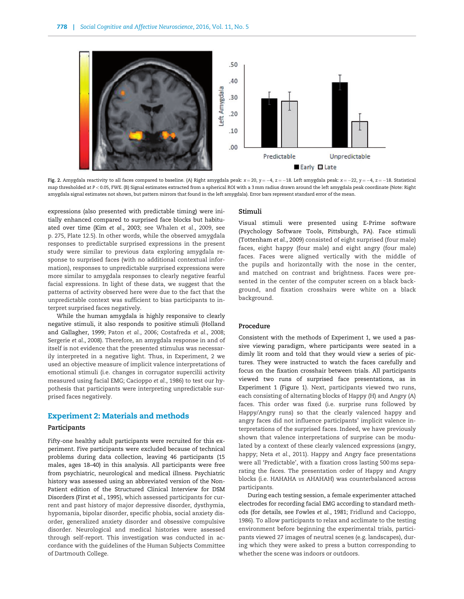<span id="page-4-0"></span>

Fig. 2. Amygdala reactivity to all faces compared to baseline. (A) Right amygdala peak:  $x=20$ ,  $y=-4$ ,  $z=-18$ . Left amygdala peak:  $x=-22$ ,  $y=-4$ ,  $z=-18$ . Statistical map thresholded at P < 0.05, FWE. (B) Signal estimates extracted from a spherical ROI with a 3 mm radius drawn around the left amygdala peak coordinate (Note: Right amygdala signal estimates not shown, but pattern mirrors that found in the left amygdala). Error bars represent standard error of the mean.

expressions (also presented with predictable timing) were initially enhanced compared to surprised face blocks but habituated over time (Kim et al.[, 2003;](#page-7-0) see [Whalen](#page-8-0) et al., 2009, see p. 275, Plate 12.5). In other words, while the observed amygdala responses to predictable surprised expressions in the present study were similar to previous data exploring amygdala response to surprised faces (with no additional contextual information), responses to unpredictable surprised expressions were more similar to amygdala responses to clearly negative fearful facial expressions. In light of these data, we suggest that the patterns of activity observed here were due to the fact that the unpredictable context was sufficient to bias participants to interpret surprised faces negatively.

While the human amygdala is highly responsive to clearly negative stimuli, it also responds to positive stimuli [\(Holland](#page-7-0) [and Gallagher, 1999;](#page-7-0) Paton et al.[, 2006](#page-8-0); [Costafreda](#page-7-0) et al., 2008; [Sergerie](#page-8-0) et al., 2008). Therefore, an amygdala response in and of itself is not evidence that the presented stimulus was necessarily interpreted in a negative light. Thus, in Experiment, 2 we used an objective measure of implicit valence interpretations of emotional stimuli (i.e. changes in corrugator supercilii activity measured using facial EMG; [Cacioppo](#page-7-0) et al., 1986) to test our hypothesis that participants were interpreting unpredictable surprised faces negatively.

# Experiment 2: Materials and methods

#### Participants

Fifty-one healthy adult participants were recruited for this experiment. Five participants were excluded because of technical problems during data collection, leaving 46 participants (15 males, ages 18–40) in this analysis. All participants were free from psychiatric, neurological and medical illness. Psychiatric history was assessed using an abbreviated version of the Non-Patient edition of the Structured Clinical Interview for DSM Disorders (First et al.[, 1995](#page-7-0)), which assessed participants for current and past history of major depressive disorder, dysthymia, hypomania, bipolar disorder, specific phobia, social anxiety disorder, generalized anxiety disorder and obsessive compulsive disorder. Neurological and medical histories were assessed through self-report. This investigation was conducted in accordance with the guidelines of the Human Subjects Committee of Dartmouth College.

#### Stimuli

Visual stimuli were presented using E-Prime software (Psychology Software Tools, Pittsburgh, PA). Face stimuli ([Tottenham](#page-8-0) et al., 2009) consisted of eight surprised (four male) faces, eight happy (four male) and eight angry (four male) faces. Faces were aligned vertically with the middle of the pupils and horizontally with the nose in the center, and matched on contrast and brightness. Faces were presented in the center of the computer screen on a black background, and fixation crosshairs were white on a black background.

# Procedure

Consistent with the methods of Experiment 1, we used a passive viewing paradigm, where participants were seated in a dimly lit room and told that they would view a series of pictures. They were instructed to watch the faces carefully and focus on the fixation crosshair between trials. All participants viewed two runs of surprised face presentations, as in Experiment 1 [\(Figure 1\)](#page-3-0). Next, participants viewed two runs, each consisting of alternating blocks of Happy (H) and Angry (A) faces. This order was fixed (i.e. surprise runs followed by Happy/Angry runs) so that the clearly valenced happy and angry faces did not influence participants' implicit valence interpretations of the surprised faces. Indeed, we have previously shown that valence interpretations of surprise can be modulated by a context of these clearly valenced expressions (angry, happy; Neta et al.[, 2011](#page-8-0)). Happy and Angry face presentations were all 'Predictable', with a fixation cross lasting 500 ms separating the faces. The presentation order of Happy and Angry blocks (i.e. HAHAHA vs AHAHAH) was counterbalanced across participants.

During each testing session, a female experimenter attached electrodes for recording facial EMG according to standard methods (for details, see [Fowles](#page-7-0) et al., 1981; [Fridlund and Cacioppo,](#page-7-0) [1986\)](#page-7-0). To allow participants to relax and acclimate to the testing environment before beginning the experimental trials, participants viewed 27 images of neutral scenes (e.g. landscapes), during which they were asked to press a button corresponding to whether the scene was indoors or outdoors.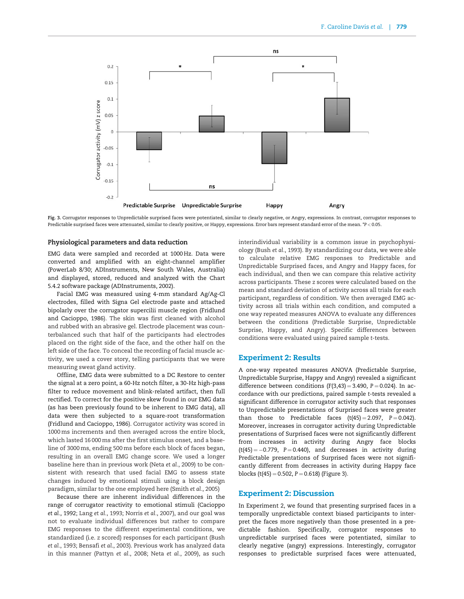

Fig. 3. Corrugator responses to Unpredictable surprised faces were potentiated, similar to clearly negative, or Angry, expressions. In contrast, corrugator responses to Predictable surprised faces were attenuated, similar to clearly positive, or Happy, expressions. Error bars represent standard error of the mean. \*P < 0.05.

#### Physiological parameters and data reduction

EMG data were sampled and recorded at 1000 Hz. Data were converted and amplified with an eight-channel amplifier (PowerLab 8/30; ADInstruments, New South Wales, Australia) and displayed, stored, reduced and analyzed with the Chart 5.4.2 software package (ADInstruments, 2002).

Facial EMG was measured using 4-mm standard Ag/Ag-Cl electrodes, filled with Signa Gel electrode paste and attached bipolarly over the corrugator supercilii muscle region ([Fridlund](#page-7-0) [and Cacioppo, 1986\)](#page-7-0). The skin was first cleaned with alcohol and rubbed with an abrasive gel. Electrode placement was counterbalanced such that half of the participants had electrodes placed on the right side of the face, and the other half on the left side of the face. To conceal the recording of facial muscle activity, we used a cover story, telling participants that we were measuring sweat gland activity.

Offline, EMG data were submitted to a DC Restore to center the signal at a zero point, a 60-Hz notch filter, a 30-Hz high-pass filter to reduce movement and blink-related artifact, then full rectified. To correct for the positive skew found in our EMG data (as has been previously found to be inherent to EMG data), all data were then subjected to a square-root transformation [\(Fridlund and Cacioppo, 1986\)](#page-7-0). Corrugator activity was scored in 1000 ms increments and then averaged across the entire block, which lasted 16 000 ms after the first stimulus onset, and a baseline of 3000 ms, ending 500 ms before each block of faces began, resulting in an overall EMG change score. We used a longer baseline here than in previous work (Neta et al.[, 2009](#page-8-0)) to be consistent with research that used facial EMG to assess state changes induced by emotional stimuli using a block design paradigm, similar to the one employed here [\(Smith](#page-8-0) et al., 2005)

Because there are inherent individual differences in the range of corrugator reactivity to emotional stimuli [\(Cacioppo](#page-7-0) et al.[, 1992](#page-7-0); Lang et al.[, 1993;](#page-7-0) [Norris](#page-8-0) et al., 2007), and our goal was not to evaluate individual differences but rather to compare EMG responses to the different experimental conditions, we standardized (i.e. z scored) responses for each participant ([Bush](#page-7-0) et al.[, 1993](#page-7-0); [Bensafi](#page-7-0) et al., 2003). Previous work has analyzed data in this manner ([Pattyn](#page-8-0) et al., 2008; Neta et al.[, 2009](#page-8-0)), as such

interindividual variability is a common issue in psychophysiology (Bush et al.[, 1993\)](#page-7-0). By standardizing our data, we were able to calculate relative EMG responses to Predictable and Unpredictable Surprised faces, and Angry and Happy faces, for each individual, and then we can compare this relative activity across participants. These z scores were calculated based on the mean and standard deviation of activity across all trials for each participant, regardless of condition. We then averaged EMG activity across all trials within each condition, and computed a one way repeated measures ANOVA to evaluate any differences between the conditions (Predictable Surprise, Unpredictable Surprise, Happy, and Angry). Specific differences between conditions were evaluated using paired sample t-tests.

## Experiment 2: Results

A one-way repeated measures ANOVA (Predictable Surprise, Unpredictable Surprise, Happy and Angry) revealed a significant difference between conditions  $(F(3,43) = 3.490, P = 0.024)$ . In accordance with our predictions, paired sample t-tests revealed a significant difference in corrugator activity such that responses to Unpredictable presentations of Surprised faces were greater than those to Predictable faces  $(t(45) = 2.097, P = 0.042)$ . Moreover, increases in corrugator activity during Unpredictable presentations of Surprised faces were not significantly different from increases in activity during Angry face blocks  $(t(45) = -0.779, P = 0.440),$  and decreases in activity during Predictable presentations of Surprised faces were not significantly different from decreases in activity during Happy face blocks (t(45) = 0.502,  $P = 0.618$ ) (Figure 3).

## Experiment 2: Discussion

In Experiment 2, we found that presenting surprised faces in a temporally unpredictable context biased participants to interpret the faces more negatively than those presented in a predictable fashion. Specifically, corrugator responses to unpredictable surprised faces were potentiated, similar to clearly negative (angry) expressions. Interestingly, corrugator responses to predictable surprised faces were attenuated,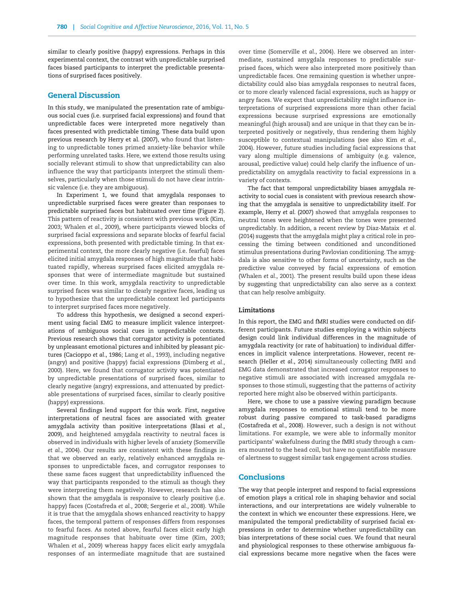similar to clearly positive (happy) expressions. Perhaps in this experimental context, the contrast with unpredictable surprised faces biased participants to interpret the predictable presentations of surprised faces positively.

# General Discussion

In this study, we manipulated the presentation rate of ambiguous social cues (i.e. surprised facial expressions) and found that unpredictable faces were interpreted more negatively than faces presented with predictable timing. These data build upon previous research by [Herry et al. \(2007\)](#page-7-0), who found that listening to unpredictable tones primed anxiety-like behavior while performing unrelated tasks. Here, we extend those results using socially relevant stimuli to show that unpredictability can also influence the way that participants interpret the stimuli themselves, particularly when those stimuli do not have clear intrinsic valence (i.e. they are ambiguous).

In Experiment 1, we found that amygdala responses to unpredictable surprised faces were greater than responses to predictable surprised faces but habituated over time [\(Figure 2\)](#page-4-0). This pattern of reactivity is consistent with previous work [\(Kim,](#page-7-0) [2003;](#page-7-0) [Whalen](#page-8-0) et al., 2009), where participants viewed blocks of surprised facial expressions and separate blocks of fearful facial expressions, both presented with predictable timing. In that experimental context, the more clearly negative (i.e. fearful) faces elicited initial amygdala responses of high magnitude that habituated rapidly, whereas surprised faces elicited amygdala responses that were of intermediate magnitude but sustained over time. In this work, amygdala reactivity to unpredictable surprised faces was similar to clearly negative faces, leading us to hypothesize that the unpredictable context led participants to interpret surprised faces more negatively.

To address this hypothesis, we designed a second experiment using facial EMG to measure implicit valence interpretations of ambiguous social cues in unpredictable contexts. Previous research shows that corrugator activity is potentiated by unpleasant emotional pictures and inhibited by pleasant pictures ([Cacioppo](#page-7-0) et al., 1986; Lang et al.[, 1993](#page-7-0)), including negative (angry) and positive (happy) facial expressions [\(Dimberg](#page-7-0) et al., [2000\)](#page-7-0). Here, we found that corrugator activity was potentiated by unpredictable presentations of surprised faces, similar to clearly negative (angry) expressions, and attenuated by predictable presentations of surprised faces, similar to clearly positive (happy) expressions.

Several findings lend support for this work. First, negative interpretations of neutral faces are associated with greater amygdala activity than positive interpretations (Blasi [et al.,](#page-7-0) [2009\)](#page-7-0), and heightened amygdala reactivity to neutral faces is observed in individuals with higher levels of anxiety [\(Somerville](#page-8-0) et al.[, 2004\)](#page-8-0). Our results are consistent with these findings in that we observed an early, relatively enhanced amygdala responses to unpredictable faces, and corrugator responses to these same faces suggest that unpredictability influenced the way that participants responded to the stimuli as though they were interpreting them negatively. However, research has also shown that the amygdala is responsive to clearly positive (i.e. happy) faces ([Costafreda](#page-7-0) et al., 2008; [Sergerie](#page-8-0) et al., 2008). While it is true that the amygdala shows enhanced reactivity to happy faces, the temporal pattern of responses differs from responses to fearful faces. As noted above, fearful faces elicit early high magnitude responses that habituate over time [\(Kim, 2003](#page-7-0); [Whalen](#page-8-0) et al., 2009) whereas happy faces elicit early amygdala responses of an intermediate magnitude that are sustained over time ([Somerville](#page-8-0) et al., 2004). Here we observed an intermediate, sustained amygdala responses to predictable surprised faces, which were also interpreted more positively than unpredictable faces. One remaining question is whether unpredictability could also bias amygdala responses to neutral faces, or to more clearly valenced facial expressions, such as happy or angry faces. We expect that unpredictability might influence interpretations of surprised expressions more than other facial expressions because surprised expressions are emotionally meaningful (high arousal) and are unique in that they can be interpreted positively or negatively, thus rendering them highly susceptible to contextual manipulations (see also Kim [et al](#page-7-0)., [2004\)](#page-7-0). However, future studies including facial expressions that vary along multiple dimensions of ambiguity (e.g. valence, arousal, predictive value) could help clarify the influence of unpredictability on amygdala reactivity to facial expressions in a variety of contexts.

The fact that temporal unpredictability biases amygdala reactivity to social cues is consistent with previous research showing that the amygdala is sensitive to unpredictability itself. For example, Herry et al[. \(2007\)](#page-7-0) showed that amygdala responses to neutral tones were heightened when the tones were presented unpredictably. In addition, a recent review by [Diaz-Mataix](#page-7-0) et al. [\(2014\)](#page-7-0) suggests that the amygdala might play a critical role in processing the timing between conditioned and unconditioned stimulus presentations during Pavlovian conditioning. The amygdala is also sensitive to other forms of uncertainty, such as the predictive value conveyed by facial expressions of emotion [\(Whalen](#page-8-0) et al., 2001). The present results build upon these ideas by suggesting that unpredictability can also serve as a context that can help resolve ambiguity.

## Limitations

In this report, the EMG and fMRI studies were conducted on different participants. Future studies employing a within subjects design could link individual differences in the magnitude of amygdala reactivity (or rate of habituation) to individual differences in implicit valence interpretations. However, recent research (Heller et al.[, 2014](#page-7-0)) simultaneously collecting fMRI and EMG data demonstrated that increased corrugator responses to negative stimuli are associated with increased amygdala responses to those stimuli, suggesting that the patterns of activity reported here might also be observed within participants.

Here, we chose to use a passive viewing paradigm because amygdala responses to emotional stimuli tend to be more robust during passive compared to task-based paradigms [\(Costafreda](#page-7-0) et al., 2008). However, such a design is not without limitations. For example, we were able to informally monitor participants' wakefulness during the fMRI study through a camera mounted to the head coil, but have no quantifiable measure of alertness to suggest similar task engagement across studies.

## **Conclusions**

The way that people interpret and respond to facial expressions of emotion plays a critical role in shaping behavior and social interactions, and our interpretations are widely vulnerable to the context in which we encounter these expressions. Here, we manipulated the temporal predictability of surprised facial expressions in order to determine whether unpredictability can bias interpretations of these social cues. We found that neural and physiological responses to these otherwise ambiguous facial expressions became more negative when the faces were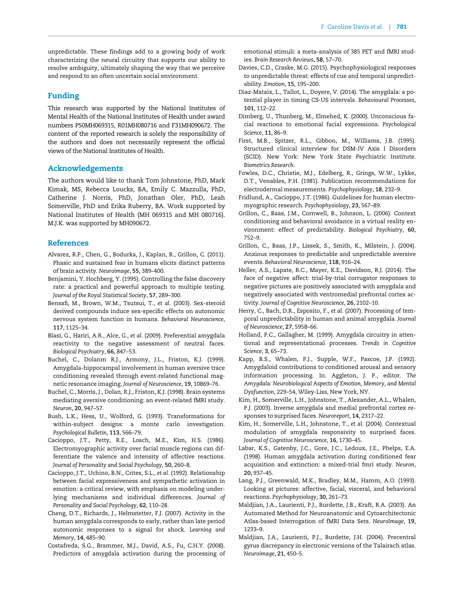<span id="page-7-0"></span>unpredictable. These findings add to a growing body of work characterizing the neural circuitry that supports our ability to resolve ambiguity, ultimately shaping the way that we perceive and respond to an often uncertain social environment.

# Funding

This research was supported by the National Institutes of Mental Health of the National Institutes of Health under award numbers P50MH069315, R01MH080716 and F31MH090672. The content of the reported research is solely the responsibility of the authors and does not necessarily represent the official views of the National Institutes of Health.

# Acknowledgements

The authors would like to thank Tom Johnstone, PhD, Mark Kimak, MS, Rebecca Loucks, BA, Emily C. Mazzulla, PhD, Catherine J. Norris, PhD, Jonathan Oler, PhD, Leah Somerville, PhD and Erika Ruberry, BA. Work supported by National Institutes of Health (MH 069315 and MH 080716). M.J.K. was supported by MH090672.

# **References**

- Alvarez, R.P., Chen, G., Bodurka, J., Kaplan, R., Grillon, C. (2011). Phasic and sustained fear in humans elicits distinct patterns of brain activity. Neuroimage, 55, 389–400.
- Benjamini, Y. Hochberg, Y. (1995). Controlling the false discovery rate: a practical and powerful approach to multiple testing. Journal of the Royal Statistical Society, 57, 289–300.
- Bensafi, M., Brown, W.M., Tsutsui, T., et al. (2003). Sex-steroid derived compounds induce sex-specific effects on autonomic nervous system function in humans. Behavioral Neuroscience, 117, 1125–34.
- Blasi, G., Hariri, A.R., Alce, G., et al. (2009). Preferential amygdala reactivity to the negative assessment of neutral faces. Biological Psychiatry, 66, 847–53.
- Buchel, C., Dolanm R.J., Armony, J.L., Friston, K.J. (1999). Amygdala-hippocampal involvement in human aversive trace conditioning revealed through event-related functional magnetic resonance imaging. Journal of Neuroscience, 19, 10869–76.
- Buchel, C., Morris, J., Dolan, R.J., Friston, K.J. (1998). Brain systems mediating aversive conditioning: an event-related fMRI study. Neuron, 20, 947–57.
- Bush, L.K., Hess, U., Wolford, G. (1993). Transformations for within-subject designs: a monte carlo investigation. Psychological Bulletin, 113, 566–79.
- Cacioppo, J.T., Petty, R.E., Losch, M.E., Kim, H.S. (1986). Electromyographic activity over facial muscle regions can differentiate the valence and intensity of affective reactions. Journal of Personality and Social Psychology, 50, 260–8.
- Cacioppo, J.T., Uchino, B.N., Crites, S.L., et al. (1992). Relationship between facial expressiveness and sympathetic activation in emotion: a critical review, with emphasis on modeling underlying mechanisms and individual differences. Journal of Personality and Social Psychology, 62, 110–28.
- Cheng, D.T., Richards, J., Helmstetter, F.J. (2007). Activity in the human amygdala corresponds to early, rather than late period autonomic responses to a signal for shock. Learning and Memory, 14, 485–90.
- Costafreda, S.G., Brammer, M.J., David, A.S., Fu, C.H.Y. (2008). Predictors of amygdala activation during the processing of

emotional stimuli: a meta-analysis of 385 PET and fMRI studies. Brain Research Reviews, 58, 57–70.

- Davies, C.D., Craske, M.G. (2015). Psychophysiological responses to unpredictable threat: effects of cue and temporal unpredictability. Emotion, 15, 195–200.
- Diaz-Mataix, L., Tallot, L., Doyere, V. (2014). The amygdala: a potential player in timing CS-US intervals. Behavioural Processes, 101, 112–22.
- Dimberg, U., Thunberg, M., Elmehed, K. (2000). Unconscious facial reactions to emotional facial expressions. Psychological Science, 11, 86–9.
- First, M.B., Spitzer, R.L., Gibbon, M., Williams, J.B. (1995). Structured clinical interview for DSM-IV Axis I Disorders (SCID). New York: New York State Psychiatric Institute. Biometrics Research.
- Fowles, D.C., Christie, M.J., Edelberg, R., Grings, W.W., Lykke, D.T., Venables, P.H. (1981). Publication recommendations for electrodermal measurements. Psychophysiology, 18, 232–9.
- Fridlund, A., Cacioppo, J.T. (1986). Guidelines for human electromyographic research. Psychophysiology, 23, 567–89.
- Grillon, C., Baas, J.M., Cornwell, B., Johnson, L. (2006). Context conditioning and behavioral avoidance in a virtual reality environment: effect of predictability. Biological Psychiatry, 60, 752–9.
- Grillon, C., Baas, J.P., Lissek, S., Smith, K., Milstein, J. (2004). Anxious responses to predictable and unpredictable aversive events. Behavioral Neuroscience, 118, 916–24.
- Heller, A.S., Lapate, R.C., Mayer, K.E., Davidson, R.J. (2014). The face of negative affect: trial-by-trial corrugator responses to negative pictures are positively associated with amygdala and negatively associated with ventromedial prefrontal cortex activity. Journal of Cognitive Neuroscience, 26, 2102–10.
- Herry, C., Bach, D.R., Esposito, F., et al. (2007). Processing of temporal unpredictability in human and animal amygdala. Journal of Neuroscience, 27, 5958–66.
- Holland, P.C., Gallagher, M. (1999). Amygdala circuitry in attentional and representational processes. Trends in Cognitive Science, 3, 65–73.
- Kapp, B.S., Whalen, P.J., Supple, W.F., Pascoe, J.P. (1992). Amygdaloid contributions to conditioned arousal and sensory information processing. In: Aggleton, J. P., editor. The Amygdala: Neurobiological Aspects of Emotion, Memory, and Mental Dysfunction, 229–54, Wiley-Liss, New York, NY.
- Kim, H., Somerville, L.H., Johnstone, T., Alexander, A.L., Whalen, P.J. (2003). Inverse amygdala and medial prefrontal cortex responses to surprised faces. Neuroreport, 14, 2317–22.
- Kim, H., Somerville, L.H., Johnstone, T., et al. (2004). Contextual modulation of amygdala responsivity to surprised faces. Journal of Cognitive Neuroscience, 16, 1730–45.
- Labar, K.S., Gatenby, J.C., Gore, J.C., Ledoux, J.E., Phelps, E.A. (1998). Human amygdala activation during conditioned fear acquisition and extinction: a mixed-trial fmri study. Neuron, 20, 937–45.
- Lang, P.J., Greenwald, M.K., Bradley, M.M., Hamm, A.O. (1993). Looking at pictures: affective, facial, visceral, and behavioral reactions. Psychophysiology, 30, 261–73.
- Maldjian, J.A., Laurienti, P.J., Burdette, J.B., Kraft, R.A. (2003). An Automated Method for Neuroanatomic and Cytoarchitectonic Atlas-based Interrogation of fMRI Data Sets. NeuroImage, 19, 1233–9.
- Maldjian, J.A., Laurienti, P.J., Burdette, J.H. (2004). Precentral gyrus discrepancy in electronic versions of the Talairach atlas. Neuroimage, 21, 450–5.